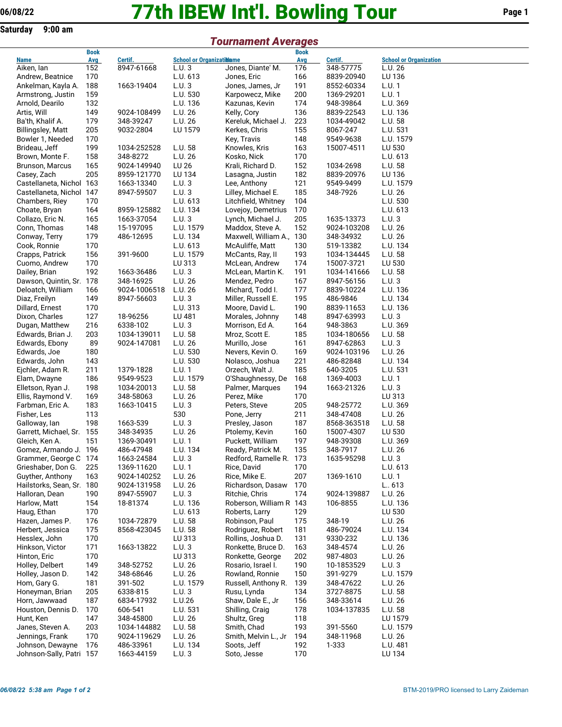**Saturday 9:00 am**

## **77th IBEW Int'l. Bowling Tour 06/08/22 Page 1**

*Tournament Averages*

## Aiken, Ian Andrew, Beatnice 170<br>Ankelman, Kayla A. 188 1 Ankelman, Kayla A. Armstrong, Justin 159 Arnold, Dearilo 132 L.U. 136 Artis, Will 149 9<br>Ba'th, Khalif A. 179 3 Ba'th, Khalif A. Billingsley, Matt 205 9 Bowler 1, Needed 170 Brideau, Jeff 199 1 Brown, Monte F. 158 3<br>Brunson, Marcus 165 9 Brunson, Marcus Casey, Zach 205 8 Castellaneta, Nichol 163 1<br>Castellaneta, Nichol 147 8 Castellaneta, Nichol 147<br>Chambers, Riey 170 Chambers, Riey Choate, Bryan 164 8<br>Collazo. Eric N. 165 1 Collazo, Eric N. 165 1 Conn, Thomas 148 15 Conway, Terry 179 4 Cook, Ronnie 170<br>Crapps, Patrick 156 3 Crapps, Patrick 156 Cuomo, Andrew 170<br>Dailev. Brian 192 1 Dailey, Brian Dawson, Quintin, Sr. 178 3 Deloatch, William 166 9<br>Diaz. Freilyn 149 8 Diaz, Freilyn 149 8<br>170 - Dillard, Ernest 170 Dillard, Ernest Dixon, Charles 127 1 Dugan, Matthew 216 63 Edwards, Brian J. 203 1 Edwards, Ebony 89 9 Edwards, Joe 180 Edwards, John 143 Ejchler, Adam R. 211 13<br>Elam, Dwayne 186 9 Elam, Dwayne 186 9<br>Elletson, Ryan J. 1981 Elletson, Ryan J. Ellis, Raymond V. 169 3 Farbman, Eric A. 183 1

| Aiken, Ian                               | 152        | 8947-61668              | L.U. 3            |
|------------------------------------------|------------|-------------------------|-------------------|
| Andrew, Beatnice                         | 170        |                         | L.U. 613          |
| Ankelman, Kayla A.                       | 188        | 1663-19404              | L.U.3             |
| Armstrong, Justin                        | 159        |                         | L.U. 530          |
| Arnold, Dearilo                          | 132        |                         | L.U. 136          |
| Artis, Will                              | 149        | 9024-108499             | L.U. 26           |
| Ba'th, Khalif A.                         | 179        | 348-39247               | L.U. 26           |
|                                          |            |                         |                   |
| Billingsley, Matt                        | 205        | 9032-2804               | LU 1579           |
| Bowler 1, Needed                         | 170        |                         |                   |
| Brideau, Jeff                            | 199        | 1034-252528             | L.U. 58           |
| Brown, Monte F.                          | 158        | 348-8272                | L.U. 26           |
| Brunson, Marcus                          | 165        | 9024-149940             | LU 26             |
| Casey, Zach                              | 205        | 8959-121770             | LU 134            |
| Castellaneta, Nichol                     | 163        | 1663-13340              | L.U. 3            |
| Castellaneta, Nichol                     | 147        | 8947-59507              | L.U. 3            |
|                                          |            |                         |                   |
| Chambers, Riey                           | 170        |                         | L.U. 613          |
| Choate, Bryan                            | 164        | 8959-125882             | L.U. 134          |
| Collazo, Eric N.                         | 165        | 1663-37054              | L.U.3             |
| Conn, Thomas                             | 148        | 15-197095               | L.U. 1579         |
| Conway, Terry                            | 179        | 486-12695               | L.U. 134          |
| Cook, Ronnie                             | 170        |                         | L.U. 613          |
| Crapps, Patrick                          | 156        | 391-9600                | L.U. 1579         |
| Cuomo, Andrew                            | 170        |                         | LU 313            |
|                                          | 192        | 1663-36486              | L.U. 3            |
| Dailey, Brian                            |            |                         |                   |
| Dawson, Quintin, Sr.                     | 178        | 348-16925               | L.U. 26           |
| Deloatch, William                        | 166        | 9024-1006518            | L.U. 26           |
| Diaz, Freilyn                            | 149        | 8947-56603              | L.U. 3            |
| Dillard, Ernest                          | 170        |                         | L.U. 313          |
| Dixon, Charles                           | 127        | 18-96256                | LU 481            |
| Dugan, Matthew                           | 216        | 6338-102                | L.U.3             |
| Edwards, Brian J.                        | 203        | 1034-139011             | L.U. 58           |
| Edwards, Ebony                           |            | 9024-147081             | L.U. 26           |
|                                          | 89         |                         |                   |
| Edwards, Joe                             | 180        |                         | L.U. 530          |
| Edwards, John                            | 143        |                         | L.U. 530          |
| Ejchler, Adam R.                         | 211        | 1379-1828               | L.U. 1            |
| Elam, Dwayne                             | 186        | 9549-9523               | L.U. 1579         |
| Elletson, Ryan J.                        | 198        | 1034-20013              | L.U. 58           |
| Ellis, Raymond V.                        | 169        | 348-58063               | L.U. 26           |
| Farbman, Eric A.                         | 183        | 1663-10415              | L.U. 3            |
| Fisher, Les                              | 113        |                         | 530               |
|                                          | 198        | 1663-539                | L.U.3             |
| Galloway, Ian                            |            |                         |                   |
| Garrett, Michael, Sr.                    | 155        | 348-34935               | L.U. 26           |
| Gleich, Ken A.                           | 151        | 1369-30491              | L.U. 1            |
| Gomez, Armando J.                        | 196        | 486-47948               | L.U. 134          |
| Grammer, George C                        | 174        | 1663-24584              | L.U. 3            |
| Grieshaber, Don G.                       | 225        | 1369-11620              | L.U.1             |
| Guyther, Anthony                         | 163        | 9024-140252             | L.U. 26           |
| Hailstorks, Sean, Sr.                    | 180        | 9024-131958             | L.U. 26           |
| Halloran, Dean                           | 190        | 8947-55907              | L.U. 3            |
|                                          |            |                         |                   |
| Harlow, Matt                             | 154        | 18-81374                | L.U. 136          |
| Haug, Ethan                              | 170        |                         | L.U. 613          |
| Hazen, James P.                          | 176        | 1034-72879              | L.U. 58           |
| Herbert, Jessica                         | 175        | 8568-423045             | L.U. 58           |
| Hesslex, John                            | 170        |                         | LU 313            |
| Hinkson, Victor                          |            |                         |                   |
| Hinton, Eric                             |            | 1663-13822              |                   |
|                                          | 171        |                         | L.U. 3            |
|                                          | 170        |                         | LU 313            |
| Holley, Delbert                          | 149        | 348-52752               | L.U. 26           |
| Holley, Jason D.                         | 142        | 348-68646               | L.U. 26           |
| Hom, Gary G.                             | 181        | 391-502                 | L.U. 1579         |
| Honeyman, Brian                          | 205        | 6338-815                | L.U.3             |
| Horn, Jawwaad                            | 187        | 6834-17932              | L.U.26            |
| Houston, Dennis D.                       | 170        | 606-541                 | L.U. 531          |
| Hunt, Ken                                | 147        | 348-45800               | L.U. 26           |
|                                          |            |                         |                   |
| Janes, Steven A.                         | 203        | 1034-144882             | L.U. 58           |
| Jennings, Frank                          | 170        | 9024-119629             | L.U. 26           |
| Johnson, Dewayne<br>Johnson-Sally, Patri | 176<br>157 | 486-33961<br>1663-44159 | L.U. 134<br>L.U.3 |

|                                            | <b>Book</b> |                         |                                  |                                    | <b>Book</b> |                         |                               |
|--------------------------------------------|-------------|-------------------------|----------------------------------|------------------------------------|-------------|-------------------------|-------------------------------|
| <b>Name</b>                                | Avg         | Certif.                 | <b>School or Organizatiliame</b> |                                    | Avg         | Certif.                 | <b>School or Organization</b> |
| Aiken, lan                                 | 152         | 8947-61668              | L.U.3                            | Jones, Diante' M.                  | 176         | 348-57775               | L.U. 26                       |
| Andrew, Beatnice                           | 170         |                         | L.U. 613                         | Jones, Eric                        | 166         | 8839-20940              | LU 136                        |
| Ankelman, Kayla A.                         | 188         | 1663-19404              | L.U.3                            | Jones, James, Jr                   | 191         | 8552-60334              | L.U. 1                        |
| Armstrong, Justin                          | 159         |                         | L.U. 530                         | Karpowecz, Mike                    | 200         | 1369-29201              | L.U. 1                        |
| Arnold, Dearilo                            | 132         |                         | L.U. 136                         | Kazunas, Kevin                     | 174         | 948-39864               | L.U. 369                      |
| Artis, Will                                | 149         | 9024-108499             | L.U. 26                          | Kelly, Cory                        | 136         | 8839-22543              | L.U. 136                      |
| Ba'th, Khalif A.                           | 179         | 348-39247               | L.U. 26                          | Kereluk, Michael J.                | 223         | 1034-49042              | L.U. 58                       |
| <b>Billingsley, Matt</b>                   | 205         | 9032-2804               | LU 1579                          | Kerkes, Chris                      | 155         | 8067-247                | L.U. 531                      |
| Bowler 1, Needed                           | 170         |                         |                                  | Key, Travis                        | 148         | 9549-9638               | L.U. 1579                     |
| Brideau, Jeff                              | 199         | 1034-252528             | L.U. 58                          | Knowles, Kris                      | 163         | 15007-4511              | LU 530                        |
| Brown, Monte F.                            | 158         | 348-8272                | L.U. 26                          | Kosko, Nick                        | 170         |                         | L.U. 613                      |
| Brunson, Marcus                            | 165         | 9024-149940             | LU 26                            | Krali, Richard D.                  | 152         | 1034-2698               | L.U. 58                       |
| Casey, Zach                                | 205         | 8959-121770             | LU 134                           | Lasagna, Justin                    | 182         | 8839-20976              | LU 136                        |
| Castellaneta, Nichol 163                   |             | 1663-13340              | L.U.3                            | Lee, Anthony                       | 121         | 9549-9499               | L.U. 1579                     |
| Castellaneta, Nichol 147                   |             | 8947-59507              | L.U.3                            | Lilley, Michael E.                 | 185         | 348-7926                | L.U. 26                       |
| Chambers, Riey                             | 170         |                         | L.U. 613                         | Litchfield, Whitney                | 104         |                         | L.U. 530                      |
| Choate, Bryan                              | 164         | 8959-125882             | L.U. 134                         | Lovejoy, Demetrius                 | 170         |                         | L.U. 613                      |
| Collazo, Eric N.                           | 165         | 1663-37054              | L.U.3                            | Lynch, Michael J.                  | 205         | 1635-13373              | L.U.3                         |
| Conn, Thomas                               | 148         | 15-197095               | L.U. 1579                        | Maddox, Steve A.                   | 152         | 9024-103208             | L.U. 26                       |
| Conway, Terry                              | 179         | 486-12695               | L.U. 134                         | Maxwell, William A.,               | 130         | 348-34932               | L.U. 26                       |
| Cook, Ronnie                               | 170         |                         | L.U. 613                         | McAuliffe, Matt                    | 130         | 519-13382               | L.U. 134                      |
| Crapps, Patrick                            | 156         | 391-9600                | L.U. 1579                        | McCants, Ray, II                   | 193         | 1034-134445             | L.U. 58                       |
| Cuomo, Andrew                              | 170         |                         | LU 313                           | McLean, Andrew                     | 174         | 15007-3721              | LU 530                        |
| Dailey, Brian                              | 192         | 1663-36486              | L.U.3                            | McLean, Martin K.                  | 191         | 1034-141666             | L.U. 58                       |
| Dawson, Quintin, Sr. 178                   |             | 348-16925               | L.U. 26                          | Mendez, Pedro                      | 167         | 8947-56156              | L.U.3                         |
| Deloatch, William                          | 166         | 9024-1006518            | L.U. 26                          | Michard, Todd I.                   | 177         | 8839-10224              | L.U. 136                      |
| Diaz, Freilyn                              | 149         | 8947-56603              | L.U.3                            | Miller, Russell E.                 | 195         | 486-9846                | L.U. 134                      |
| Dillard, Ernest                            | 170         |                         | L.U. 313                         | Moore, David L.                    | 190         | 8839-11653              | L.U. 136                      |
| Dixon, Charles                             | 127         | 18-96256                | LU 481                           | Morales, Johnny                    | 148         | 8947-63993              | L.U.3                         |
| Dugan, Matthew                             | 216         | 6338-102                | L.U.3                            | Morrison, Ed A.                    | 164         | 948-3863                | L.U. 369                      |
| Edwards, Brian J.                          | 203         | 1034-139011             | L.U. 58                          | Mroz, Scott E.                     | 185         | 1034-180656             | L.U. 58                       |
| Edwards, Ebony                             | 89          | 9024-147081             | L.U. 26                          | Murillo, Jose                      | 161         | 8947-62863              | L.U.3                         |
| Edwards, Joe                               | 180         |                         | L.U. 530                         | Nevers, Kevin O.                   | 169         | 9024-103196             | L.U. 26                       |
| Edwards, John                              | 143         |                         | L.U. 530                         | Nolasco, Joshua                    | 221         | 486-82848               | L.U. 134                      |
| Ejchler, Adam R.                           | 211         | 1379-1828               | L.U.1                            | Orzech, Walt J.                    | 185         | 640-3205                | L.U. 531                      |
| Elam, Dwayne                               | 186         | 9549-9523               | L.U. 1579                        | O'Shaughnessy, De                  | 168         | 1369-4003               | L.U. 1                        |
| Elletson, Ryan J.                          | 198         | 1034-20013              | L.U. 58                          | Palmer, Marques                    | 194         | 1663-21326              | L.U.3                         |
| Ellis, Raymond V.                          | 169         | 348-58063               | L.U. 26                          | Perez, Mike                        | 170         |                         | LU 313                        |
| Farbman, Eric A.                           | 183         | 1663-10415              | L.U.3                            | Peters, Steve                      | 205         | 948-25772               | L.U. 369                      |
| Fisher, Les                                | 113<br>198  | 1663-539                | 530                              | Pone, Jerry                        | 211         | 348-47408               | L.U. 26                       |
| Galloway, lan<br>Garrett, Michael, Sr. 155 |             |                         | L.U.3<br>L.U. 26                 | Presley, Jason                     | 187<br>160  | 8568-363518             | L.U. 58<br>LU 530             |
| Gleich, Ken A.                             | 151         | 348-34935<br>1369-30491 | L.U. 1                           | Ptolemy, Kevin<br>Puckett, William | 197         | 15007-4307<br>948-39308 | L.U. 369                      |
| Gomez, Armando J. 196                      |             | 486-47948               | L.U. 134                         | Ready, Patrick M.                  | 135         | 348-7917                | L.U. 26                       |
| Grammer, George C 174                      |             | 1663-24584              | L.U.3                            | Redford, Ramelle R.                | 173         | 1635-95298              | L.U.3                         |
| Grieshaber, Don G.                         | 225         | 1369-11620              | L.U.1                            | Rice, David                        | 170         |                         | L.U. 613                      |
| Guyther, Anthony                           | 163         | 9024-140252             | L.U. 26                          | Rice, Mike E.                      | 207         | 1369-1610               | L.U. 1                        |
| Hailstorks, Sean, Sr. 180                  |             | 9024-131958             | L.U. 26                          | Richardson, Dasaw                  | 170         |                         | L.613                         |
| Halloran, Dean                             | 190         | 8947-55907              | L.U.3                            | Ritchie, Chris                     | 174         | 9024-139887             | L.U. 26                       |
| Harlow, Matt                               | 154         | 18-81374                | L.U. 136                         | Roberson, William R 143            |             | 106-8855                | L.U. 136                      |
| Haug, Ethan                                | 170         |                         | L.U. 613                         | Roberts, Larry                     | 129         |                         | LU 530                        |
| Hazen, James P.                            | 176         | 1034-72879              | L.U. 58                          | Robinson, Paul                     | 175         | 348-19                  | L.U. 26                       |
| Herbert, Jessica                           | 175         | 8568-423045             | L.U. 58                          | Rodriguez, Robert                  | 181         | 486-79024               | L.U. 134                      |
| Hesslex, John                              | 170         |                         | LU 313                           | Rollins, Joshua D.                 | 131         | 9330-232                | L.U. 136                      |
| Hinkson, Victor                            | 171         | 1663-13822              | L.U.3                            | Ronkette, Bruce D.                 | 163         | 348-4574                | L.U. 26                       |
| Hinton, Eric                               | 170         |                         | LU 313                           | Ronkette, George                   | 202         | 987-4803                | L.U. 26                       |
| Holley, Delbert                            | 149         | 348-52752               | L.U. 26                          | Rosario, Israel I.                 | 190         | 10-1853529              | L.U.3                         |
| Holley, Jason D.                           | 142         | 348-68646               | L.U. 26                          | Rowland, Ronnie                    | 150         | 391-9279                | L.U. 1579                     |
| Hom, Gary G.                               | 181         | 391-502                 | L.U. 1579                        | Russell, Anthony R.                | 139         | 348-47622               | L.U. 26                       |
| Honeyman, Brian                            | 205         | 6338-815                | L.U.3                            | Rusu, Lynda                        | 134         | 3727-8875               | L.U. 58                       |
| Horn, Jawwaad                              | 187         | 6834-17932              | L.U.26                           | Shaw, Dale E., Jr                  | 156         | 348-33614               | L.U. 26                       |
| Houston, Dennis D.                         | 170         | 606-541                 | L.U. 531                         | Shilling, Craig                    | 178         | 1034-137835             | L.U. 58                       |
| Hunt, Ken                                  | 147         | 348-45800               | L.U. 26                          | Shultz, Greg                       | 118         |                         | LU 1579                       |
| Janes, Steven A.                           | 203         | 1034-144882             | L.U. 58                          | Smith, Chad                        | 193         | 391-5560                | L.U. 1579                     |
| Jennings, Frank                            | 170         | 9024-119629             | L.U. 26                          | Smith, Melvin L., Jr               | 194         | 348-11968               | L.U. 26                       |
| Johnson, Dewayne                           | 176         | 486-33961               | L.U. 134                         | Soots, Jeff                        | 192         | 1-333                   | L.U. 481                      |
| Johnson-Sally, Patri 157                   |             | 1663-44159              | L.U.3                            | Soto, Jesse                        | 170         |                         | LU 134                        |
|                                            |             |                         |                                  |                                    |             |                         |                               |